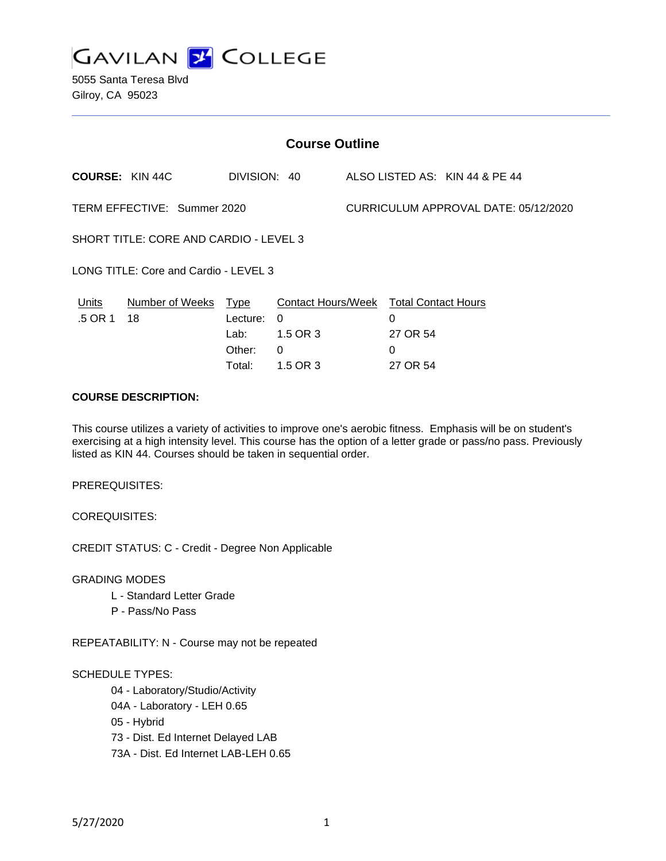

5055 Santa Teresa Blvd Gilroy, CA 95023

| <b>Course Outline</b>                  |                                                                 |                  |               |                                                         |               |                                |
|----------------------------------------|-----------------------------------------------------------------|------------------|---------------|---------------------------------------------------------|---------------|--------------------------------|
|                                        | <b>COURSE: KIN 44C</b>                                          | DIVISION: 40     |               |                                                         |               | ALSO LISTED AS: KIN 44 & PE 44 |
| TERM EFFECTIVE: Summer 2020            |                                                                 |                  |               | CURRICULUM APPROVAL DATE: 05/12/2020                    |               |                                |
| SHORT TITLE: CORE AND CARDIO - LEVEL 3 |                                                                 |                  |               |                                                         |               |                                |
| LONG TITLE: Core and Cardio - LEVEL 3  |                                                                 |                  |               |                                                         |               |                                |
| Units<br>.5 OR 1                       | Number of Weeks Type<br>18<br>0<br>Lecture:<br>1.5 OR 3<br>Lab: |                  |               | Contact Hours/Week Total Contact Hours<br>0<br>27 OR 54 |               |                                |
|                                        |                                                                 | Other:<br>Total: | 0<br>1.5 OR 3 |                                                         | 0<br>27 OR 54 |                                |

#### **COURSE DESCRIPTION:**

This course utilizes a variety of activities to improve one's aerobic fitness. Emphasis will be on student's exercising at a high intensity level. This course has the option of a letter grade or pass/no pass. Previously listed as KIN 44. Courses should be taken in sequential order.

PREREQUISITES:

COREQUISITES:

CREDIT STATUS: C - Credit - Degree Non Applicable

GRADING MODES

- L Standard Letter Grade
- P Pass/No Pass

REPEATABILITY: N - Course may not be repeated

#### SCHEDULE TYPES:

04 - Laboratory/Studio/Activity

- 04A Laboratory LEH 0.65
- 05 Hybrid

73 - Dist. Ed Internet Delayed LAB

73A - Dist. Ed Internet LAB-LEH 0.65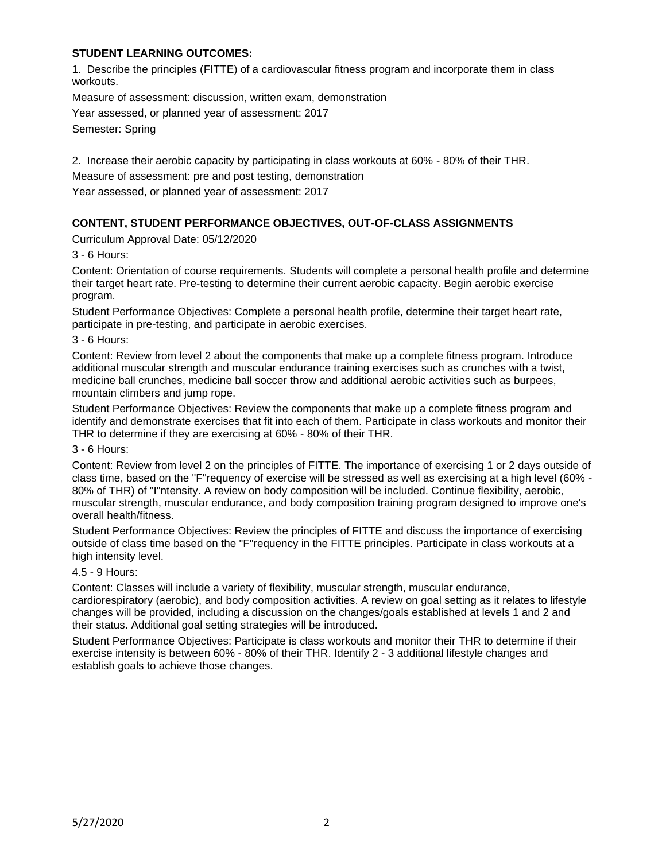## **STUDENT LEARNING OUTCOMES:**

1. Describe the principles (FITTE) of a cardiovascular fitness program and incorporate them in class workouts.

Measure of assessment: discussion, written exam, demonstration

Year assessed, or planned year of assessment: 2017

Semester: Spring

2. Increase their aerobic capacity by participating in class workouts at 60% - 80% of their THR.

Measure of assessment: pre and post testing, demonstration

Year assessed, or planned year of assessment: 2017

# **CONTENT, STUDENT PERFORMANCE OBJECTIVES, OUT-OF-CLASS ASSIGNMENTS**

Curriculum Approval Date: 05/12/2020

3 - 6 Hours:

Content: Orientation of course requirements. Students will complete a personal health profile and determine their target heart rate. Pre-testing to determine their current aerobic capacity. Begin aerobic exercise program.

Student Performance Objectives: Complete a personal health profile, determine their target heart rate, participate in pre-testing, and participate in aerobic exercises.

3 - 6 Hours:

Content: Review from level 2 about the components that make up a complete fitness program. Introduce additional muscular strength and muscular endurance training exercises such as crunches with a twist, medicine ball crunches, medicine ball soccer throw and additional aerobic activities such as burpees, mountain climbers and jump rope.

Student Performance Objectives: Review the components that make up a complete fitness program and identify and demonstrate exercises that fit into each of them. Participate in class workouts and monitor their THR to determine if they are exercising at 60% - 80% of their THR.

3 - 6 Hours:

Content: Review from level 2 on the principles of FITTE. The importance of exercising 1 or 2 days outside of class time, based on the "F"requency of exercise will be stressed as well as exercising at a high level (60% - 80% of THR) of "I"ntensity. A review on body composition will be included. Continue flexibility, aerobic, muscular strength, muscular endurance, and body composition training program designed to improve one's overall health/fitness.

Student Performance Objectives: Review the principles of FITTE and discuss the importance of exercising outside of class time based on the "F"requency in the FITTE principles. Participate in class workouts at a high intensity level.

#### 4.5 - 9 Hours:

Content: Classes will include a variety of flexibility, muscular strength, muscular endurance, cardiorespiratory (aerobic), and body composition activities. A review on goal setting as it relates to lifestyle changes will be provided, including a discussion on the changes/goals established at levels 1 and 2 and their status. Additional goal setting strategies will be introduced.

Student Performance Objectives: Participate is class workouts and monitor their THR to determine if their exercise intensity is between 60% - 80% of their THR. Identify 2 - 3 additional lifestyle changes and establish goals to achieve those changes.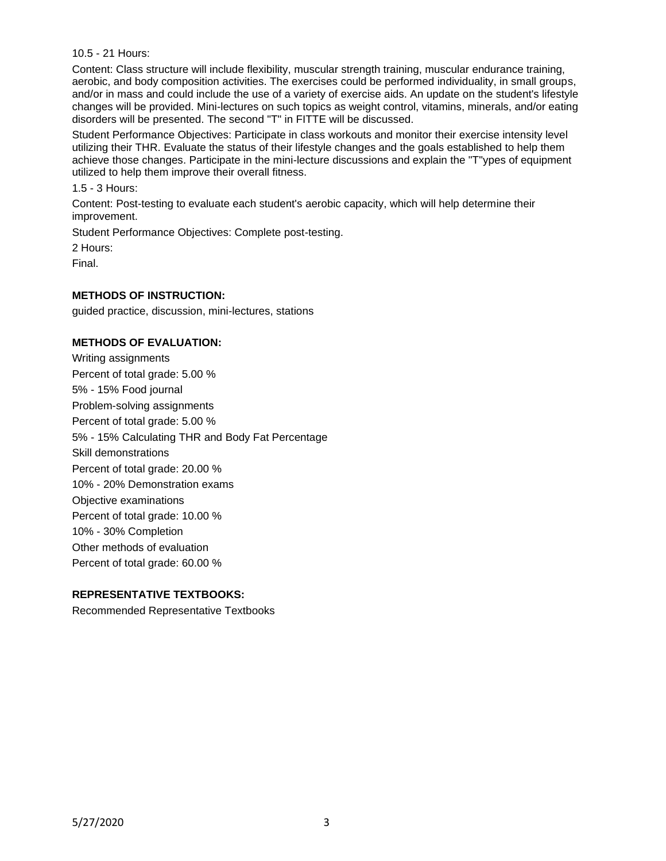10.5 - 21 Hours:

Content: Class structure will include flexibility, muscular strength training, muscular endurance training, aerobic, and body composition activities. The exercises could be performed individuality, in small groups, and/or in mass and could include the use of a variety of exercise aids. An update on the student's lifestyle changes will be provided. Mini-lectures on such topics as weight control, vitamins, minerals, and/or eating disorders will be presented. The second "T" in FITTE will be discussed.

Student Performance Objectives: Participate in class workouts and monitor their exercise intensity level utilizing their THR. Evaluate the status of their lifestyle changes and the goals established to help them achieve those changes. Participate in the mini-lecture discussions and explain the "T"ypes of equipment utilized to help them improve their overall fitness.

1.5 - 3 Hours:

Content: Post-testing to evaluate each student's aerobic capacity, which will help determine their improvement.

Student Performance Objectives: Complete post-testing.

2 Hours:

Final.

## **METHODS OF INSTRUCTION:**

guided practice, discussion, mini-lectures, stations

#### **METHODS OF EVALUATION:**

Writing assignments Percent of total grade: 5.00 % 5% - 15% Food journal Problem-solving assignments Percent of total grade: 5.00 % 5% - 15% Calculating THR and Body Fat Percentage Skill demonstrations Percent of total grade: 20.00 % 10% - 20% Demonstration exams Objective examinations Percent of total grade: 10.00 % 10% - 30% Completion Other methods of evaluation Percent of total grade: 60.00 %

## **REPRESENTATIVE TEXTBOOKS:**

Recommended Representative Textbooks